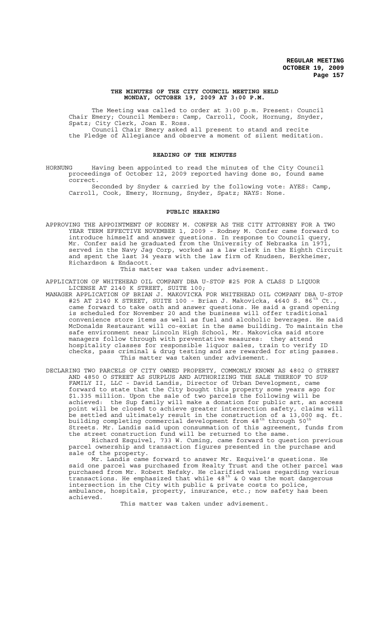## **THE MINUTES OF THE CITY COUNCIL MEETING HELD MONDAY, OCTOBER 19, 2009 AT 3:00 P.M.**

The Meeting was called to order at 3:00 p.m. Present: Council Chair Emery; Council Members: Camp, Carroll, Cook, Hornung, Snyder, Spatz; City Clerk, Joan E. Ross. Council Chair Emery asked all present to stand and recite the Pledge of Allegiance and observe a moment of silent meditation.

# **READING OF THE MINUTES**

HORNUNG Having been appointed to read the minutes of the City Council proceedings of October 12, 2009 reported having done so, found same correct.

Seconded by Snyder & carried by the following vote: AYES: Camp, Carroll, Cook, Emery, Hornung, Snyder, Spatz; NAYS: None.

# **PUBLIC HEARING**

APPROVING THE APPOINTMENT OF RODNEY M. CONFER AS THE CITY ATTORNEY FOR A TWO YEAR TERM EFFECTIVE NOVEMBER 1, 2009 - Rodney M. Confer came forward to introduce himself and answer questions. In response to Council query, Mr. Confer said he graduated from the University of Nebraska in 1971, served in the Navy Jag Corp, worked as a law clerk in the Eighth Circuit and spent the last 34 years with the law firm of Knudsen, Berkheimer, Richardson & Endacott.

This matter was taken under advisement.

APPLICATION OF WHITEHEAD OIL COMPANY DBA U-STOP #25 FOR A CLASS D LIQUOR LICENSE AT 2140 K STREET, SUITE 100;

- MANAGER APPLICATION OF BRIAN J. MAKOVICKA FOR WHITEHEAD OIL COMPANY DBA U-STOP #25 AT 2140 K STREET, SUITE 100 - Brian J. Makovicka, 4640 S. 86<sup>th</sup> Ct., came forward to take oath and answer questions. He said a grand opening is scheduled for November 20 and the business will offer traditional convenience store items as well as fuel and alcoholic beverages. He said McDonalds Restaurant will co-exist in the same building. To maintain the safe environment near Lincoln High School, Mr. Makovicka said store managers follow through with preventative measures: they attend hospitality classes for responsible liquor sales, train to verify ID checks, pass criminal & drug testing and are rewarded for sting passes. This matter was taken under advisement.
- DECLARING TWO PARCELS OF CITY OWNED PROPERTY, COMMONLY KNOWN AS 4802 O STREET AND 4850 O STREET AS SURPLUS AND AUTHORIZING THE SALE THEREOF TO SUP FAMILY II, LLC - David Landis, Director of Urban Development, came forward to state that the City bought this property some years ago for \$1.335 million. Upon the sale of two parcels the following will be achieved: the Sup family will make a donation for public art, an access point will be closed to achieve greater intersection safety, claims will be settled and ultimately result in the construction of a 13,000 sq. ft. building completing commercial development from 48<sup>th</sup> through 50<sup>th</sup> Streets. Mr. Landis said upon consummation of this agreement, funds from the street construction fund will be returned to the same.

Richard Esquivel, 733 W. Cuming, came forward to question previous parcel ownership and transaction figures presented in the purchase and sale of the property.

Mr. Landis came forward to answer Mr. Esquivel's questions. He said one parcel was purchased from Realty Trust and the other parcel was purchased from Mr. Robert Nefsky. He clarified values regarding various .<br>transactions. He emphasized that while 48<sup>th</sup> & O was the most dangerous intersection in the City with public & private costs to police, ambulance, hospitals, property, insurance, etc.; now safety has been achieved.

This matter was taken under advisement.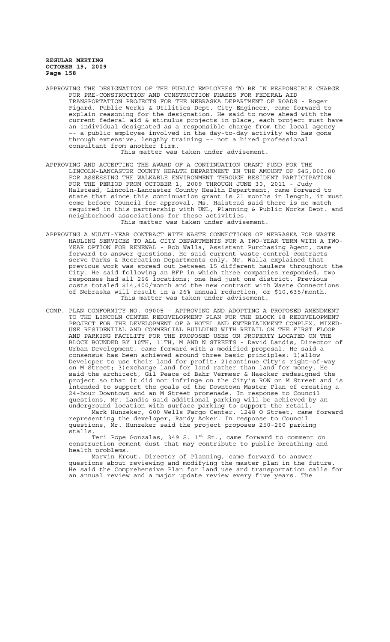APPROVING THE DESIGNATION OF THE PUBLIC EMPLOYEES TO BE IN RESPONSIBLE CHARGE FOR PRE-CONSTRUCTION AND CONSTRUCTION PHASES FOR FEDERAL AID TRANSPORTATION PROJECTS FOR THE NEBRASKA DEPARTMENT OF ROADS - Roger Figard, Public Works & Utilities Dept. City Engineer, came forward to explain reasoning for the designation. He said to move ahead with the current federal aid & stimulus projects in place, each project must have an individual designated as a responsible charge from the local agency –- a public employee involved in the day-to-day activity who has gone through extensive, lengthy training –- not a hired professional consultant from another firm.

This matter was taken under advisement.

- APPROVING AND ACCEPTING THE AWARD OF A CONTINUATION GRANT FUND FOR THE LINCOLN-LANCASTER COUNTY HEALTH DEPARTMENT IN THE AMOUNT OF \$45,000.00 FOR ASSESSING THE WALKABLE ENVIRONMENT THROUGH RESIDENT PARTICIPATION FOR THE PERIOD FROM OCTOBER 1, 2009 THROUGH JUNE 30, 2011 - Judy Halstead, Lincoln-Lancaster County Health Department, came forward to state that since this continuation grant is 21 months in length, it must come before Council for approval. Ms. Halstead said there is no match required in this partnership with UNL, Planning & Public Works Dept. and neighborhood associations for these activities. This matter was taken under advisement.
- APPROVING A MULTI-YEAR CONTRACT WITH WASTE CONNECTIONS OF NEBRASKA FOR WASTE HAULING SERVICES TO ALL CITY DEPARTMENTS FOR A TWO-YEAR TERM WITH A TWO-YEAR OPTION FOR RENEWAL - Bob Walla, Assistant Purchasing Agent, came forward to answer questions. He said current waste control contracts serve Parks & Recreation Departments only. Mr. Walla explained that previous work was spread out between 15 different haulers throughout the City. He said following an RFP in which three companies responded, two responses had all 266 locations; one had just one district. Previous costs totaled \$14,400/month and the new contract with Waste Connections of Nebraska will result in a 26% annual reduction, or \$10,635/month. This matter was taken under advisement.
- COMP. PLAN CONFORMITY NO. 09005 APPROVING AND ADOPTING A PROPOSED AMENDMENT TO THE LINCOLN CENTER REDEVELOPMENT PLAN FOR THE BLOCK 68 REDEVELOPMENT PROJECT FOR THE DEVELOPMENT OF A HOTEL AND ENTERTAINMENT COMPLEX, MIXED-USE RESIDENTIAL AND COMMERCIAL BUILDING WITH RETAIL ON THE FIRST FLOOR AND PARKING FACILITY FOR THE PROPOSED USES ON PROPERTY LOCATED ON THE BLOCK BOUNDED BY 10TH, 11TH, M AND N STREETS - David Landis, Director of Urban Development, came forward with a modified proposal. He said a consensus has been achieved around three basic principles: 1)allow Developer to use their land for profit; 2)continue City's right-of-way on M Street; 3)exchange land for land rather than land for money. He said the architect, Gil Peace of Bahr Vermeer & Haecker redesigned the project so that it did not infringe on the City's ROW on M Street and is intended to support the goals of the Downtown Master Plan of creating a 24-hour Downtown and an M Street promenade. In response to Council questions, Mr. Landis said additional parking will be achieved by an underground location with surface parking to support the retail.

Mark Hunzeker, 600 Wells Fargo Center, 1248 O Street, came forward representing the developer, Randy Acker. In response to Council questions, Mr. Hunzeker said the project proposes 250-260 parking stalls.

Teri Pope Gonzalas, 349 S. 1<sup>st</sup> St., came forward to comment on construction cement dust that may contribute to public breathing and health problems.

Marvin Krout, Director of Planning, came forward to answer questions about reviewing and modifying the master plan in the future. He said the Comprehensive Plan for land use and transportation calls for an annual review and a major update review every five years. The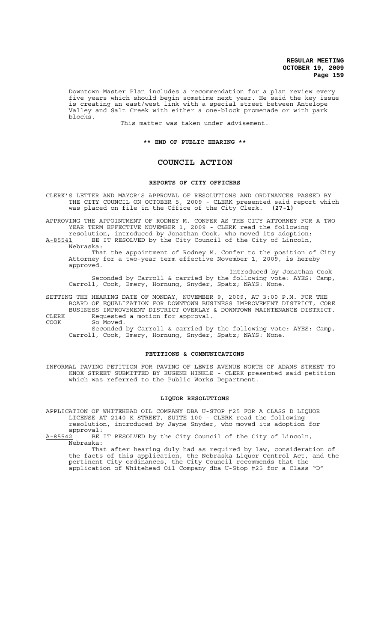Downtown Master Plan includes a recommendation for a plan review every five years which should begin sometime next year. He said the key issue is creating an east/west link with a special street between Antelope Valley and Salt Creek with either a one-block promenade or with park blocks.

This matter was taken under advisement.

### **\*\* END OF PUBLIC HEARING \*\***

# **COUNCIL ACTION**

## **REPORTS OF CITY OFFICERS**

CLERK'S LETTER AND MAYOR'S APPROVAL OF RESOLUTIONS AND ORDINANCES PASSED BY THE CITY COUNCIL ON OCTOBER 5, 2009 - CLERK presented said report which was placed on file in the Office of the City Clerk. **(27-1)**

APPROVING THE APPOINTMENT OF RODNEY M. CONFER AS THE CITY ATTORNEY FOR A TWO YEAR TERM EFFECTIVE NOVEMBER 1, 2009 - CLERK read the following resolution, introduced by Jonathan Cook, who moved its adoption:

A-85541 BE IT RESOLVED by the City Council of the City of Lincoln, Nebraska:

That the appointment of Rodney M. Confer to the position of City Attorney for a two-year term effective November 1, 2009, is hereby approved.

Introduced by Jonathan Cook Seconded by Carroll & carried by the following vote: AYES: Camp, Carroll, Cook, Emery, Hornung, Snyder, Spatz; NAYS: None.

SETTING THE HEARING DATE OF MONDAY, NOVEMBER 9, 2009, AT 3:00 P.M. FOR THE BOARD OF EQUALIZATION FOR DOWNTOWN BUSINESS IMPROVEMENT DISTRICT, CORE BUSINESS IMPROVEMENT DISTRICT OVERLAY & DOWNTOWN MAINTENANCE DISTRICT.

CLERK Requested a motion for approval.<br>COOK So Moved. So Moved.

Seconded by Carroll & carried by the following vote: AYES: Camp, Carroll, Cook, Emery, Hornung, Snyder, Spatz; NAYS: None.

## **PETITIONS & COMMUNICATIONS**

INFORMAL PAVING PETITION FOR PAVING OF LEWIS AVENUE NORTH OF ADAMS STREET TO KNOX STREET SUBMITTED BY EUGENE HINKLE - CLERK presented said petition which was referred to the Public Works Department.

### **LIQUOR RESOLUTIONS**

APPLICATION OF WHITEHEAD OIL COMPANY DBA U-STOP #25 FOR A CLASS D LIQUOR LICENSE AT 2140 K STREET, SUITE 100 - CLERK read the following resolution, introduced by Jayne Snyder, who moved its adoption for

approval:<br>A-85542 BE BE IT RESOLVED by the City Council of the City of Lincoln, Nebraska:

That after hearing duly had as required by law, consideration of the facts of this application, the Nebraska Liquor Control Act, and the pertinent City ordinances, the City Council recommends that the application of Whitehead Oil Company dba U-Stop #25 for a Class "D"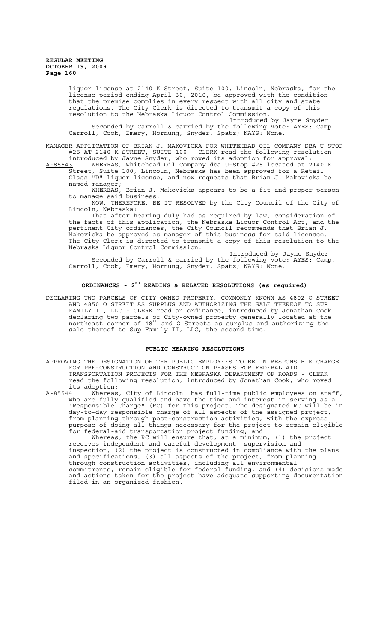> liquor license at 2140 K Street, Suite 100, Lincoln, Nebraska, for the license period ending April 30, 2010, be approved with the condition that the premise complies in every respect with all city and state regulations. The City Clerk is directed to transmit a copy of this resolution to the Nebraska Liquor Control Commission.

Introduced by Jayne Snyder Seconded by Carroll & carried by the following vote: AYES: Camp, Carroll, Cook, Emery, Hornung, Snyder, Spatz; NAYS: None.

MANAGER APPLICATION OF BRIAN J. MAKOVICKA FOR WHITEHEAD OIL COMPANY DBA U-STOP #25 AT 2140 K STREET, SUITE 100 - CLERK read the following resolution,

introduced by Jayne Snyder, who moved its adoption for approval: A-85543 WHEREAS, Whitehead Oil Company dba U-Stop #25 located at 2140 K Street, Suite 100, Lincoln, Nebraska has been approved for a Retail Class "D" liquor license, and now requests that Brian J. Makovicka be named manager;

WHEREAS, Brian J. Makovicka appears to be a fit and proper person to manage said business.

NOW, THEREFORE, BE IT RESOLVED by the City Council of the City of Lincoln, Nebraska:

That after hearing duly had as required by law, consideration of the facts of this application, the Nebraska Liquor Control Act, and the pertinent City ordinances, the City Council recommends that Brian J. Makovicka be approved as manager of this business for said licensee. The City Clerk is directed to transmit a copy of this resolution to the Nebraska Liquor Control Commission.

Introduced by Jayne Snyder Seconded by Carroll & carried by the following vote: AYES: Camp, Carroll, Cook, Emery, Hornung, Snyder, Spatz; NAYS: None.

# **ORDINANCES - 2ND READING & RELATED RESOLUTIONS (as required)**

DECLARING TWO PARCELS OF CITY OWNED PROPERTY, COMMONLY KNOWN AS 4802 O STREET AND 4850 O STREET AS SURPLUS AND AUTHORIZING THE SALE THEREOF TO SUP FAMILY II, LLC - CLERK read an ordinance, introduced by Jonathan Cook, declaring two parcels of City-owned property generally located at the northeast corner of 48th and O Streets as surplus and authorizing the sale thereof to Sup Family II, LLC, the second time.

## **PUBLIC HEARING RESOLUTIONS**

- APPROVING THE DESIGNATION OF THE PUBLIC EMPLOYEES TO BE IN RESPONSIBLE CHARGE FOR PRE-CONSTRUCTION AND CONSTRUCTION PHASES FOR FEDERAL AID TRANSPORTATION PROJECTS FOR THE NEBRASKA DEPARTMENT OF ROADS - CLERK read the following resolution, introduced by Jonathan Cook, who moved its adoption:<br>A-85544 Whereas
- A-85544 Whereas, City of Lincoln has full-time public employees on staff, who are fully qualified and have the time and interest in serving as a "Responsible Charge" (RC) for this project. The designated RC will be in day-to-day responsible charge of all aspects of the assigned project, from planning through post-construction activities, with the express purpose of doing all things necessary for the project to remain eligible for federal-aid transportation project funding; and

Whereas, the RC will ensure that, at a minimum, (1) the project receives independent and careful development, supervision and inspection, (2) the project is constructed in compliance with the plans and specifications, (3) all aspects of the project, from planning through construction activities, including all environmental commitments, remain eligible for federal funding, and (4) decisions made and actions taken for the project have adequate supporting documentation filed in an organized fashion.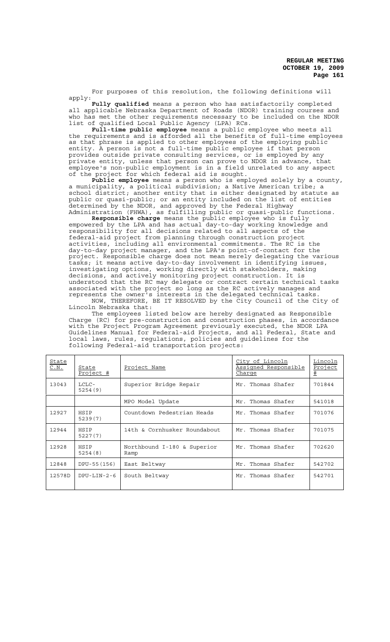For purposes of this resolution, the following definitions will apply:

**Fully qualified** means a person who has satisfactorily completed all applicable Nebraska Department of Roads (NDOR) training courses and who has met the other requirements necessary to be included on the NDOR list of qualified Local Public Agency (LPA) RCs.

**Full-time public employee** means a public employee who meets all the requirements and is afforded all the benefits of full-time employees as that phrase is applied to other employees of the employing public entity. A person is not a full-time public employee if that person provides outside private consulting services, or is employed by any private entity, unless that person can prove to NDOR in advance, that employee's non-public employment is in a field unrelated to any aspect of the project for which federal aid is sought.

**Public employee** means a person who is employed solely by a county, a municipality, a political subdivision; a Native American tribe; a school district; another entity that is either designated by statute as public or quasi-public; or an entity included on the list of entities determined by the NDOR, and approved by the Federal Highway Administration (FHWA), as fulfilling public or quasi-public functions.

**Responsible charge** means the public employee who is fully empowered by the LPA and has actual day-to-day working knowledge and responsibility for all decisions related to all aspects of the federal-aid project from planning through construction project activities, including all environmental commitments. The RC is the day-to-day project manager, and the LPA's point-of-contact for the project. Responsible charge does not mean merely delegating the various tasks; it means active day-to-day involvement in identifying issues, investigating options, working directly with stakeholders, making decisions, and actively monitoring project construction. It is understood that the RC may delegate or contract certain technical tasks associated with the project so long as the RC actively manages and represents the owner's interests in the delegated technical tasks. NOW, THEREFORE, BE IT RESOLVED by the City Council of the City of

Lincoln Nebraska that: The employees listed below are hereby designated as Responsible

Charge (RC) for pre-construction and construction phases, in accordance with the Project Program Agreement previously executed, the NDOR LPA Guidelines Manual for Federal-aid Projects, and all Federal, State and local laws, rules, regulations, policies and guidelines for the following Federal-aid transportation projects:

| State<br>C.N. | State<br>Project # | Project Name                        | City of Lincoln<br>Assigned Responsible<br>Charge | Lincoln<br>Project<br># |
|---------------|--------------------|-------------------------------------|---------------------------------------------------|-------------------------|
| 13043         | LCLC-<br>5254(9)   | Superior Bridge Repair              | Mr. Thomas Shafer                                 | 701844                  |
|               |                    | MPO Model Update                    | Mr. Thomas Shafer                                 | 541018                  |
| 12927         | HSIP<br>5239(7)    | Countdown Pedestrian Heads          | Mr. Thomas Shafer                                 | 701076                  |
| 12944         | HSIP<br>5227(7)    | 14th & Cornhusker Roundabout        | Mr. Thomas Shafer                                 | 701075                  |
| 12928         | HSIP<br>5254(8)    | Northbound I-180 & Superior<br>Ramp | Mr. Thomas Shafer                                 | 702620                  |
| 12848         | DPU-55 (156)       | East Beltway                        | Thomas Shafer<br>Mr.                              | 542702                  |
| 12578D        | $DPU-LIN-2-6$      | South Beltway                       | Mr. Thomas Shafer                                 | 542701                  |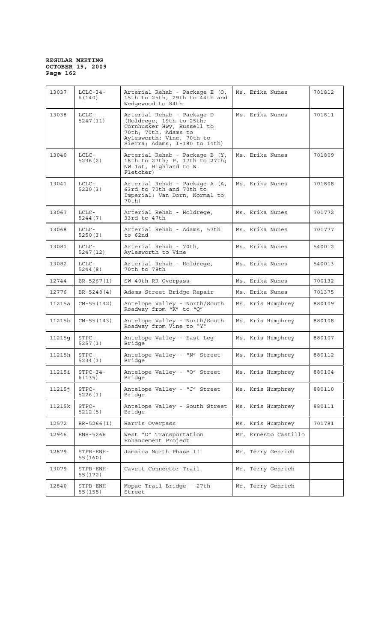| 13037  | $LCLC-34-$<br>6(140)  | Arterial Rehab - Package E (O,<br>15th to 25th, 29th to 44th and<br>Wedgewood to 84th                                                                                      | Ms. Erika Nunes      | 701812 |
|--------|-----------------------|----------------------------------------------------------------------------------------------------------------------------------------------------------------------------|----------------------|--------|
| 13038  | LCLC-<br>5247 (11)    | Arterial Rehab - Package D<br>(Holdrege, 19th to 25th;<br>Cornhusker Hwy, Russell to<br>70th; 70th, Adams to<br>Aylesworth; Vine, 70th to<br>Sierra; Adams, I-180 to 14th) | Ms. Erika Nunes      | 701811 |
| 13040  | LCLC-<br>5236(2)      | Arterial Rehab - Package B (Y,<br>18th to 27th; P, 17th to 27th;<br>NW 1st, Highland to W.<br>Fletcher)                                                                    | Ms. Erika Nunes      | 701809 |
| 13041  | $LCLC-$<br>5220(3)    | Arterial Rehab - Package A (A,<br>63rd to 70th and 70th to<br>Imperial; Van Dorn, Normal to<br>70th)                                                                       | Ms. Erika Nunes      | 701808 |
| 13067  | LCLC-<br>5244(7)      | Arterial Rehab - Holdrege,<br>33rd to 47th                                                                                                                                 | Ms. Erika Nunes      | 701772 |
| 13068  | $LCLC-$<br>5250(3)    | Arterial Rehab - Adams, 57th<br>to 62nd                                                                                                                                    | Ms. Erika Nunes      | 701777 |
| 13081  | $LCLC-$<br>5247(12)   | Arterial Rehab - 70th,<br>Aylesworth to Vine                                                                                                                               | Ms. Erika Nunes      | 540012 |
| 13082  | $LCLC-$<br>5244(8)    | Arterial Rehab - Holdrege,<br>70th to 79th                                                                                                                                 | Ms. Erika Nunes      | 540013 |
| 12744  | BR-5267(1)            | SW 40th RR Overpass                                                                                                                                                        | Ms. Erika Nunes      | 700132 |
| 12776  | BR-5248(4)            | Adams Street Bridge Repair                                                                                                                                                 | Ms. Erika Nunes      | 701375 |
| 11215a | $CM-55(142)$          | Antelope Valley - North/South<br>Roadway from "K" to "Q"                                                                                                                   | Ms. Kris Humphrey    | 880109 |
| 11215b | $CM-55(143)$          | Antelope Valley - North/South<br>Roadway from Vine to "Y"                                                                                                                  | Ms. Kris Humphrey    | 880108 |
| 11215q | STPC-<br>5257(1)      | Antelope Valley - East Leg<br>Bridge                                                                                                                                       | Ms. Kris Humphrey    | 880107 |
| 11215h | STPC-<br>5234(1)      | Antelope Valley - "N" Street<br>Bridge                                                                                                                                     | Ms. Kris Humphrey    | 880112 |
| 11215i | $STPC-34-$<br>6(135)  | Antelope Valley - "O" Street<br>Bridge                                                                                                                                     | Ms. Kris Humphrey    | 880104 |
| 112151 | STPC-<br>5226(1)      | Antelope Valley - "J" Street<br>Bridge                                                                                                                                     | Ms. Kris Humphrey    | 880110 |
| 11215k | STPC-<br>5212(5)      | Antelope Valley - South Street<br>Bridge                                                                                                                                   | Ms. Kris Humphrey    | 880111 |
| 12572  | BR-5266(1)            | Harris Overpass                                                                                                                                                            | Ms. Kris Humphrey    | 701781 |
| 12946  | ENH-5266              | West "O" Transportation<br>Enhancement Project                                                                                                                             | Mr. Ernesto Castillo |        |
| 12879  | STPB-ENH-<br>55 (160) | Jamaica North Phase II                                                                                                                                                     | Mr. Terry Genrich    |        |
| 13079  | STPB-ENH-<br>55 (172) | Cavett Connector Trail                                                                                                                                                     | Mr. Terry Genrich    |        |
| 12840  | STPB-ENH-<br>55 (155) | Mopac Trail Bridge - 27th<br>Street                                                                                                                                        | Mr. Terry Genrich    |        |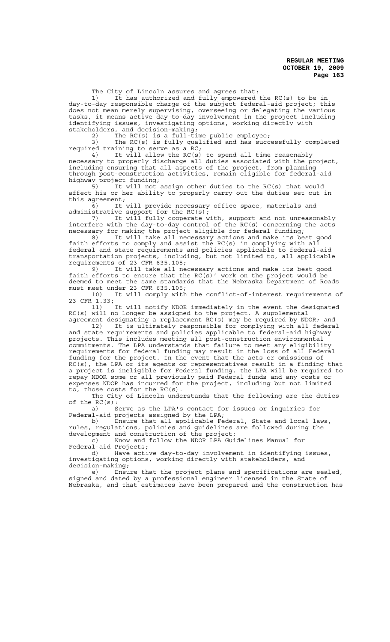The City of Lincoln assures and agrees that:

1) It has authorized and fully empowered the RC(s) to be in day-to-day responsible charge of the subject federal-aid project; this does not mean merely supervising, overseeing or delegating the various tasks, it means active day-to-day involvement in the project including identifying issues, investigating options, working directly with stakeholders, and decision-making;

2) The RC(s) is a full-time public employee;

3) The RC(s) is fully qualified and has successfully completed required training to serve as a RC;

4) It will allow the RC(s) to spend all time reasonably necessary to properly discharge all duties associated with the project, including ensuring that all aspects of the project, from planning through post-construction activities, remain eligible for federal-aid highway project funding;<br>5) It will not

It will not assign other duties to the RC(s) that would affect his or her ability to properly carry out the duties set out in this agreement;

6) It will provide necessary office space, materials and administrative support for the  $RC(s)$ ;

7) It will fully cooperate with, support and not unreasonably interfere with the day-to-day control of the RC(s) concerning the acts necessary for making the project eligible for federal funding;

8) It will take all necessary actions and make its best good faith efforts to comply and assist the RC(s) in complying with all federal and state requirements and policies applicable to federal-aid transportation projects, including, but not limited to, all applicable requirements of 23 CFR 635.105;

9) It will take all necessary actions and make its best good faith efforts to ensure that the  $RC(s)$ ' work on the project would be deemed to meet the same standards that the Nebraska Department of Roads must meet under 23 CFR 635.105;

10) It will comply with the conflict-of-interest requirements of 23 CFR 1.33;

11) It will notify NDOR immediately in the event the designated RC(s) will no longer be assigned to the project. A supplemental agreement designating a replacement RC(s) may be required by NDOR; and

12) It is ultimately responsible for complying with all federal and state requirements and policies applicable to federal-aid highway projects. This includes meeting all post-construction environmental commitments. The LPA understands that failure to meet any eligibility requirements for federal funding may result in the loss of all Federal funding for the project. In the event that the acts or omissions of RC(s), the LPA or its agents or representatives result in a finding that a project is ineligible for Federal funding, the LPA will be required to repay NDOR some or all previously paid Federal funds and any costs or expenses NDOR has incurred for the project, including but not limited to, those costs for the RC(s).

The City of Lincoln understands that the following are the duties % of the  $RC(s)$ :<br>a)  $S$ 

Serve as the LPA's contact for issues or inquiries for Federal-aid projects assigned by the LPA;

b) Ensure that all applicable Federal, State and local laws, rules, regulations, policies and guidelines are followed during the development and construction of the project;

c) Know and follow the NDOR LPA Guidelines Manual for Federal-aid Projects;

d) Have active day-to-day involvement in identifying issues, investigating options, working directly with stakeholders, and decision-making;

e) Ensure that the project plans and specifications are sealed, signed and dated by a professional engineer licensed in the State of Nebraska, and that estimates have been prepared and the construction has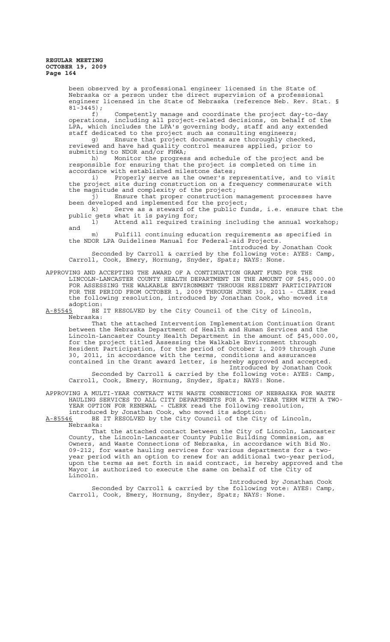been observed by a professional engineer licensed in the State of Nebraska or a person under the direct supervision of a professional engineer licensed in the State of Nebraska (reference Neb. Rev. Stat. §  $81 - 3445$ ; f) Competently manage and coordinate the project day-to-day operations, including all project-related decisions, on behalf of the LPA, which includes the LPA's governing body, staff and any extended staff dedicated to the project such as consulting engineers; g) Ensure that project documents are thoroughly checked, reviewed and have had quality control measures applied, prior to submitting to NDOR and/or FHWA; h) Monitor the progress and schedule of the project and be responsible for ensuring that the project is completed on time in accordance with established milestone dates; i) Properly serve as the owner's representative, and to visit the project site during construction on a frequency commensurate with the magnitude and complexity of the project;<br>j) Ensure that proper construction  $\mathbf{u}$ Ensure that proper construction management processes have been developed and implemented for the project; k) Serve as a steward of the public funds, i.e. ensure that the public gets what it is paying for;<br>1) Attend all required tr Attend all required training including the annual workshop; and m) Fulfill continuing education requirements as specified in the NDOR LPA Guidelines Manual for Federal-aid Projects. Introduced by Jonathan Cook Seconded by Carroll & carried by the following vote: AYES: Camp, Carroll, Cook, Emery, Hornung, Snyder, Spatz; NAYS: None. APPROVING AND ACCEPTING THE AWARD OF A CONTINUATION GRANT FUND FOR THE LINCOLN-LANCASTER COUNTY HEALTH DEPARTMENT IN THE AMOUNT OF \$45,000.00 FOR ASSESSING THE WALKABLE ENVIRONMENT THROUGH RESIDENT PARTICIPATION FOR THE PERIOD FROM OCTOBER 1, 2009 THROUGH JUNE 30, 2011 - CLERK read the following resolution, introduced by Jonathan Cook, who moved its adoption: A-85545 BE IT RESOLVED by the City Council of the City of Lincoln, Nebraska: That the attached Intervention Implementation Continuation Grant between the Nebraska Department of Health and Human Services and the Lincoln-Lancaster County Health Department in the amount of \$45,000.00,<br>for the project titled Assessing the Walkable Environment through the project titled Assessing the Walkable Environment through Resident Participation, for the period of October 1, 2009 through June 30, 2011, in accordance with the terms, conditions and assurances contained in the Grant award letter, is hereby approved and accepted. Introduced by Jonathan Cook Seconded by Carroll & carried by the following vote: AYES: Camp, Carroll, Cook, Emery, Hornung, Snyder, Spatz; NAYS: None. APPROVING A MULTI-YEAR CONTRACT WITH WASTE CONNECTIONS OF NEBRASKA FOR WASTE HAULING SERVICES TO ALL CITY DEPARTMENTS FOR A TWO-YEAR TERM WITH A TWO-YEAR OPTION FOR RENEWAL - CLERK read the following resolution, introduced by Jonathan Cook, who moved its adoption:

A-85546 BE IT RESOLVED by the City Council of the City of Lincoln, Nebraska:

That the attached contact between the City of Lincoln, Lancaster County, the Lincoln-Lancaster County Public Building Commission, as Owners, and Waste Connections of Nebraska, in accordance with Bid No. 09-212, for waste hauling services for various departments for a twoyear period with an option to renew for an additional two-year period, upon the terms as set forth in said contract, is hereby approved and the Mayor is authorized to execute the same on behalf of the City of Lincoln.

Introduced by Jonathan Cook Seconded by Carroll & carried by the following vote: AYES: Camp, Carroll, Cook, Emery, Hornung, Snyder, Spatz; NAYS: None.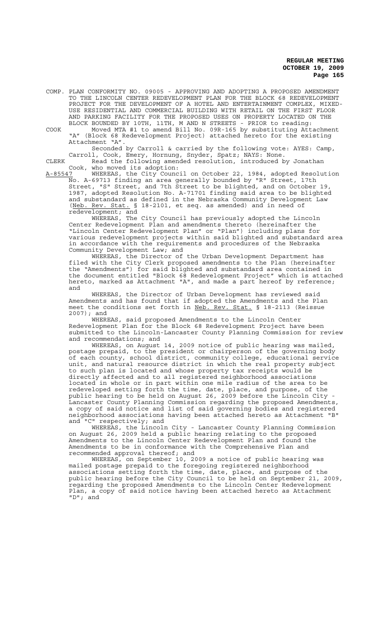COMP. PLAN CONFORMITY NO. 09005 - APPROVING AND ADOPTING A PROPOSED AMENDMENT TO THE LINCOLN CENTER REDEVELOPMENT PLAN FOR THE BLOCK 68 REDEVELOPMENT PROJECT FOR THE DEVELOPMENT OF A HOTEL AND ENTERTAINMENT COMPLEX, MIXED-USE RESIDENTIAL AND COMMERCIAL BUILDING WITH RETAIL ON THE FIRST FLOOR AND PARKING FACILITY FOR THE PROPOSED USES ON PROPERTY LOCATED ON THE BLOCK BOUNDED BY 10TH, 11TH, M AND N STREETS - PRIOR to reading:

COOK Moved MTA #1 to amend Bill No. 09R-165 by substituting Attachment "A" (Block 68 Redevelopment Project) attached hereto for the existing Attachment "A".

Seconded by Carroll & carried by the following vote: AYES: Camp, Carroll, Cook, Emery, Hornung, Snyder, Spatz; NAYS: None.

CLERK Read the following amended resolution, introduced by Jonathan Cook, who moved its adoption:<br>A-85547 WHEREAS, the City Counc

A-85547 WHEREAS, the City Council on October 22, 1984, adopted Resolution No. A-69713 finding an area generally bounded by "R" Street, 17th Street, "S" Street, and 7th Street to be blighted, and on October 19, 1987, adopted Resolution No. A-71701 finding said area to be blighted and substandard as defined in the Nebraska Community Development Law (Neb. Rev. Stat. § 18-2101, et seq. as amended) and in need of redevelopment; and

WHEREAS, The City Council has previously adopted the Lincoln Center Redevelopment Plan and amendments thereto (hereinafter the "Lincoln Center Redevelopment Plan" or "Plan") including plans for various redevelopment projects within said blighted and substandard area in accordance with the requirements and procedures of the Nebraska Community Development Law; and

WHEREAS, the Director of the Urban Development Department has filed with the City Clerk proposed amendments to the Plan (hereinafter the "Amendments") for said blighted and substandard area contained in the document entitled "Block 68 Redevelopment Project" which is attached hereto, marked as Attachment "A", and made a part hereof by reference; and

WHEREAS, the Director of Urban Development has reviewed said Amendments and has found that if adopted the Amendments and the Plan meet the conditions set forth in Neb. Rev. Stat. § 18-2113 (Reissue 2007); and

WHEREAS, said proposed Amendments to the Lincoln Center Redevelopment Plan for the Block 68 Redevelopment Project have been submitted to the Lincoln-Lancaster County Planning Commission for review and recommendations; and

WHEREAS, on August 14, 2009 notice of public hearing was mailed, postage prepaid, to the president or chairperson of the governing body of each county, school district, community college, educational service of each county, send t undertied, community correspondently subject<br>unit, and natural resource district in which the real property subject to such plan is located and whose property tax receipts would be directly affected and to all registered neighborhood associations directly affected and to all registered neighborhood associations located in whole or in part within one mile radius of the area to be redeveloped setting forth the time, date, place, and purpose, of the public hearing to be held on August 26, 2009 before the Lincoln City - .<br>Lancaster County Planning Commission regarding the proposed Amendments, a copy of said notice and list of said governing bodies and registered<br>neighborhood associations having been attached hereto as Attachment "B" neighborhood associations having been attached hereto as Attachment and "C" respectively; and

WHEREAS, the Lincoln City - Lancaster County Planning Commission on August 26, 2009 held a public hearing relating to the proposed Amendments to the Lincoln Center Redevelopment Plan and found the Amendments to be in conformance with the Comprehensive Plan and recommended approval thereof; and

WHEREAS, on September 10, 2009 a notice of public hearing was mailed postage prepaid to the foregoing registered neighborhood associations setting forth the time, date, place, and purpose of the public hearing before the City Council to be held on September 21, 2009, regarding the proposed Amendments to the Lincoln Center Redevelopment Plan, a copy of said notice having been attached hereto as Attachment "D"; and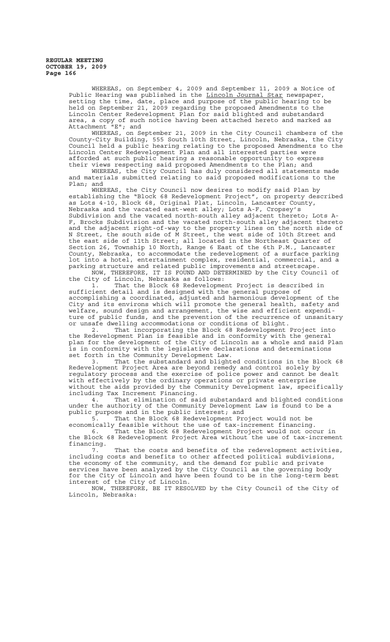> WHEREAS, on September 4, 2009 and September 11, 2009 a Notice of Public Hearing was published in the Lincoln Journal Star newspaper, setting the time, date, place and purpose of the public hearing to be held on September 21, 2009 regarding the proposed Amendments to the Lincoln Center Redevelopment Plan for said blighted and substandard area, a copy of such notice having been attached hereto and marked as Attachment "E"; and

WHEREAS, on September 21, 2009 in the City Council chambers of the County-City Building, 555 South 10th Street, Lincoln, Nebraska, the City Council held a public hearing relating to the proposed Amendments to the Lincoln Center Redevelopment Plan and all interested parties were afforded at such public hearing a reasonable opportunity to express their views respecting said proposed Amendments to the Plan; and

WHEREAS, the City Council has duly considered all statements made and materials submitted relating to said proposed modifications to the Plan; and

WHEREAS, the City Council now desires to modify said Plan by establishing the "Block 68 Redevelopment Project", on property described as Lots 4-10, Block 68, Original Plat, Lincoln, Lancaster County, Nebraska and the vacated east-west alley; Lots A-F, Cropsey's Subdivision and the vacated north-south alley adjacent thereto; Lots A-F, Brocks Subdivision and the vacated north-south alley adjacent thereto and the adjacent right-of-way to the property lines on the north side of N Street, the south side of M Street, the west side of 10th Street and the east side of 11th Street; all located in the Northeast Quarter of Section 26, Township 10 North, Range 6 East of the 6th P.M., Lancaster County, Nebraska, to accommodate the redevelopment of a surface parking lot into a hotel, entertainment complex, residential, commercial, and a parking structure and related public improvements and streetscape.

NOW, THEREFORE, IT IS FOUND AND DETERMINED by the City Council of the City of Lincoln, Nebraska as follows:

1. That the Block 68 Redevelopment Project is described in sufficient detail and is designed with the general purpose of accomplishing a coordinated, adjusted and harmonious development of the City and its environs which will promote the general health, safety and welfare, sound design and arrangement, the wise and efficient expenditure of public funds, and the prevention of the recurrence of unsanitary or unsafe dwelling accommodations or conditions of blight.

2. That incorporating the Block 68 Redevelopment Project into the Redevelopment Plan is feasible and in conformity with the general plan for the development of the City of Lincoln as a whole and said Plan is in conformity with the legislative declarations and determinations set forth in the Community Development Law.<br>3. That the substandard and blight

That the substandard and blighted conditions in the Block 68 Redevelopment Project Area are beyond remedy and control solely by regulatory process and the exercise of police power and cannot be dealt with effectively by the ordinary operations or private enterprise without the aids provided by the Community Development law, specifically including Tax Increment Financing.<br>4. That elimination of sa

That elimination of said substandard and blighted conditions under the authority of the Community Development Law is found to be a public purpose and in the public interest; and

That the Block 68 Redevelopment Project would not be economically feasible without the use of tax-increment financing. 6. That the Block 68 Redevelopment Project would not occur in

the Block 68 Redevelopment Project Area without the use of tax-increment financing.

7. That the costs and benefits of the redevelopment activities, including costs and benefits to other affected political subdivisions, the economy of the community, and the demand for public and private services have been analyzed by the City Council as the governing body for the City of Lincoln and have been found to be in the long-term best interest of the City of Lincoln.

NOW, THEREFORE, BE IT RESOLVED by the City Council of the City of Lincoln, Nebraska: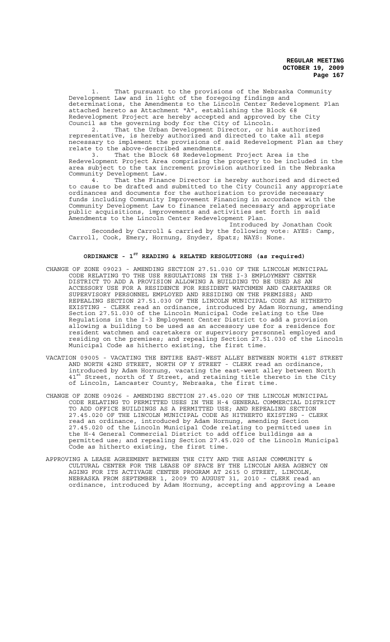That pursuant to the provisions of the Nebraska Community Development Law and in light of the foregoing findings and determinations, the Amendments to the Lincoln Center Redevelopment Plan attached hereto as Attachment "A", establishing the Block 68 Redevelopment Project are hereby accepted and approved by the City Council as the governing body for the City of Lincoln.

2. That the Urban Development Director, or his authorized representative, is hereby authorized and directed to take all steps necessary to implement the provisions of said Redevelopment Plan as they relate to the above-described amendments.

3. That the Block 68 Redevelopment Project Area is the Redevelopment Project Area comprising the property to be included in the area subject to the tax increment provision authorized in the Nebraska Community Development Law.<br>4. That the Finan

That the Finance Director is hereby authorized and directed to cause to be drafted and submitted to the City Council any appropriate ordinances and documents for the authorization to provide necessary funds including Community Improvement Financing in accordance with the Community Development Law to finance related necessary and appropriate public acquisitions, improvements and activities set forth in said Amendments to the Lincoln Center Redevelopment Plan.

Introduced by Jonathan Cook Seconded by Carroll & carried by the following vote: AYES: Camp, Carroll, Cook, Emery, Hornung, Snyder, Spatz; NAYS: None.

# **ORDINANCE - 1ST READING & RELATED RESOLUTIONS (as required)**

- CHANGE OF ZONE 09023 AMENDING SECTION 27.51.030 OF THE LINCOLN MUNICIPAL CODE RELATING TO THE USE REGULATIONS IN THE I-3 EMPLOYMENT CENTER DISTRICT TO ADD A PROVISION ALLOWING A BUILDING TO BE USED AS AN ACCESSORY USE FOR A RESIDENCE FOR RESIDENT WATCHMEN AND CARETAKERS OR SUPERVISORY PERSONNEL EMPLOYED AND RESIDING ON THE PREMISES; AND REPEALING SECTION 27.51.030 OF THE LINCOLN MUNICIPAL CODE AS HITHERTO EXISTING - CLERK read an ordinance, introduced by Adam Hornung, amending Section 27.51.030 of the Lincoln Municipal Code relating to the Use Regulations in the I-3 Employment Center District to add a provision allowing a building to be used as an accessory use for a residence for resident watchmen and caretakers or supervisory personnel employed and residing on the premises; and repealing Section 27.51.030 of the Lincoln Municipal Code as hitherto existing, the first time.
- VACATION 09005 VACATING THE ENTIRE EAST-WEST ALLEY BETWEEN NORTH 41ST STREET AND NORTH 42ND STREET, NORTH OF Y STREET - CLERK read an ordinance, introduced by Adam Hornung, vacating the east-west alley between North 41<sup>st</sup> Street, north of Y Street, and retaining title thereto in the City of Lincoln, Lancaster County, Nebraska, the first time.
- CHANGE OF ZONE 09026 AMENDING SECTION 27.45.020 OF THE LINCOLN MUNICIPAL CODE RELATING TO PERMITTED USES IN THE H-4 GENERAL COMMERCIAL DISTRICT TO ADD OFFICE BUILDINGS AS A PERMITTED USE; AND REPEALING SECTION 27.45.020 OF THE LINCOLN MUNICIPAL CODE AS HITHERTO EXISTING - CLERK read an ordinance, introduced by Adam Hornung, amending Section 27.45.020 of the Lincoln Municipal Code relating to permitted uses in the H-4 General Commercial District to add office buildings as a permitted use; and repealing Section 27.45.020 of the Lincoln Municipal Code as hitherto existing, the first time.
- APPROVING A LEASE AGREEMENT BETWEEN THE CITY AND THE ASIAN COMMUNITY & CULTURAL CENTER FOR THE LEASE OF SPACE BY THE LINCOLN AREA AGENCY ON AGING FOR ITS ACTIVAGE CENTER PROGRAM AT 2615 O STREET, LINCOLN, NEBRASKA FROM SEPTEMBER 1, 2009 TO AUGUST 31, 2010 - CLERK read an ordinance, introduced by Adam Hornung, accepting and approving a Lease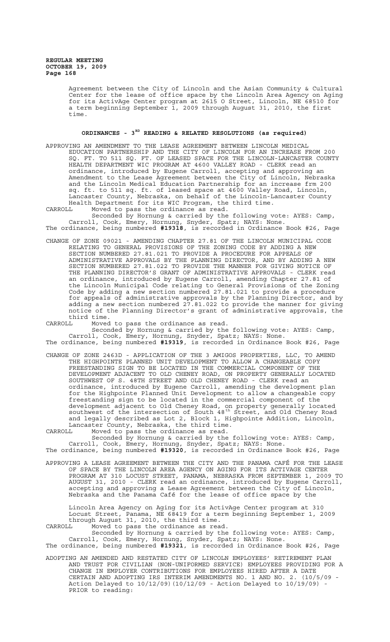> Agreement between the City of Lincoln and the Asian Community & Cultural Center for the lease of office space by the Lincoln Area Agency on Aging for its ActivAge Center program at 2615 O Street, Lincoln, NE 68510 for a term beginning September 1, 2009 through August 31, 2010, the first time.

# **ORDINANCES - 3RD READING & RELATED RESOLUTIONS (as required)**

- APPROVING AN AMENDMENT TO THE LEASE AGREEMENT BETWEEN LINCOLN MEDICAL EDUCATION PARTNERSHIP AND THE CITY OF LINCOLN FOR AN INCREASE FROM 200 SQ. FT. TO 511 SQ. FT. OF LEASED SPACE FOR THE LINCOLN-LANCASTER COUNTY HEALTH DEPARTMENT WIC PROGRAM AT 4600 VALLEY ROAD - CLERK read an ordinance, introduced by Eugene Carroll, accepting and approving an Amendment to the Lease Agreement between the City of Lincoln, Nebraska and the Lincoln Medical Education Partnership for an increase frm 200 sq. ft. to 511 sq. ft. of leased space at 4600 Valley Road, Lincoln, Lancaster County, Nebraska, on behalf of the Lincoln-Lancaster County Health Department for its WIC Program, the third time.
- CARROLL Moved to pass the ordinance as read.

Seconded by Hornung & carried by the following vote: AYES: Camp, Carroll, Cook, Emery, Hornung, Snyder, Spatz; NAYS: None. The ordinance, being numbered **#19318**, is recorded in Ordinance Book #26, Page

CHANGE OF ZONE 09021 - AMENDING CHAPTER 27.81 OF THE LINCOLN MUNICIPAL CODE RELATING TO GENERAL PROVISIONS OF THE ZONING CODE BY ADDING A NEW SECTION NUMBERED 27.81.021 TO PROVIDE A PROCEDURE FOR APPEALS OF ADMINISTRATIVE APPROVALS BY THE PLANNING DIRECTOR, AND BY ADDING A NEW SECTION NUMBERED 27.81.022 TO PROVIDE THE MANNER FOR GIVING NOTICE OF THE PLANNING DIRECTOR'S GRANT OF ADMINISTRATIVE APPROVALS - CLERK read an ordinance, introduced by Eugene Carroll, amending Chapter 27.81 of the Lincoln Municipal Code relating to General Provisions of the Zoning Code by adding a new section numbered 27.81.021 to provide a procedure for appeals of administrative approvals by the Planning Director, and by adding a new section numbered 27.81.022 to provide the manner for giving notice of the Planning Director's grant of administrative approvals, the third time.<br>CARROLL Moved

Moved to pass the ordinance as read. Seconded by Hornung & carried by the following vote: AYES: Camp, Carroll, Cook, Emery, Hornung, Snyder, Spatz; NAYS: None. The ordinance, being numbered **#19319**, is recorded in Ordinance Book #26, Page

CHANGE OF ZONE 2463D - APPLICATION OF THE 3 AMIGOS PROPERTIES, LLC, TO AMEND THE HIGHPOINTE PLANNED UNIT DEVELOPMENT TO ALLOW A CHANGEABLE COPY FREESTANDING SIGN TO BE LOCATED IN THE COMMERCIAL COMPONENT OF THE DEVELOPMENT ADJACENT TO OLD CHENEY ROAD, ON PROPERTY GENERALLY LOCATED SOUTHWEST OF S. 48TH STREET AND OLD CHENEY ROAD - CLERK read an ordinance, introduced by Eugene Carroll, amending the development plan for the Highpointe Planned Unit Development to allow a changeable copy freestanding sign to be located in the commercial component of the development adjacent to Old Cheney Road, on property generally located southwest of the intersection of South 48<sup>th</sup> Street, and Old Cheney Road and legally described as Lot 2, Block 1, Highpointe Addition, Lincoln, Lancaster County, Nebraska, the third time.

CARROLL Moved to pass the ordinance as read. Seconded by Hornung & carried by the following vote: AYES: Camp, Carroll, Cook, Emery, Hornung, Snyder, Spatz; NAYS: None.

The ordinance, being numbered **#19320**, is recorded in Ordinance Book #26, Page

APPROVING A LEASE AGREEMENT BETWEEN THE CITY AND THE PANAMA CAFÉ FOR THE LEASE OF SPACE BY THE LINCOLN AREA AGENCY ON AGING FOR ITS ACTIVAGE CENTER PROGRAM AT 310 LOCUST STREET, PANAMA, NEBRASKA FROM SEPTEMBER 1, 2009 TO AUGUST 31, 2010 - CLERK read an ordinance, introduced by Eugene Carroll, accepting and approving a Lease Agreement between the City of Lincoln, Nebraska and the Panama Café for the lease of office space by the

Lincoln Area Agency on Aging for its ActivAge Center program at 310 Locust Street, Panama, NE 68419 for a term beginning September 1, 2009 through August 31, 2010, the third time. CARROLL Moved to pass the ordinance as read.

Seconded by Hornung & carried by the following vote: AYES: Camp, Carroll, Cook, Emery, Hornung, Snyder, Spatz; NAYS: None. The ordinance, being numbered **#19321**, is recorded in Ordinance Book #26, Page

ADOPTING AN AMENDED AND RESTATED CITY OF LINCOLN EMPLOYEES' RETIREMENT PLAN AND TRUST FOR CIVILIAN (NON-UNIFORMED SERVICE) EMPLOYEES PROVIDING FOR A CHANGE IN EMPLOYER CONTRIBUTIONS FOR EMPLOYEES HIRED AFTER A DATE CERTAIN AND ADOPTING IRS INTERIM AMENDMENTS NO. 1 AND NO. 2. (10/5/09 - Action Delayed to 10/12/09)(10/12/09 - Action Delayed to 10/19/09) - PRIOR to reading: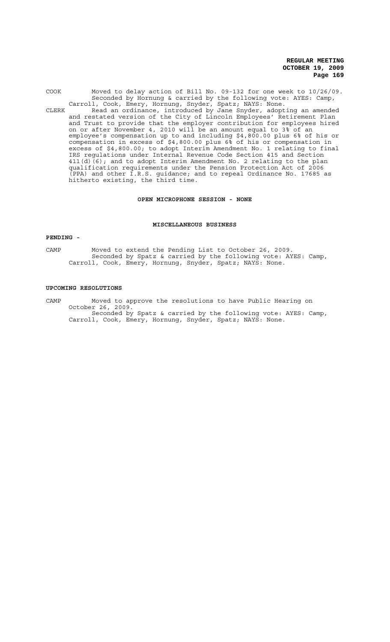COOK Moved to delay action of Bill No. 09-132 for one week to 10/26/09. Seconded by Hornung & carried by the following vote: AYES: Camp, Carroll, Cook, Emery, Hornung, Snyder, Spatz; NAYS: None. CLERK Read an ordinance, introduced by Jane Snyder, adopting an amended and restated version of the City of Lincoln Employees' Retirement Plan and Trust to provide that the employer contribution for employees hired on or after November 4, 2010 will be an amount equal to 3% of an employee's compensation up to and including \$4,800.00 plus 6% of his or compensation in excess of \$4,800.00 plus 6% of his or compensation in excess of \$4,800.00; to adopt Interim Amendment No. 1 relating to final IRS regulations under Internal Revenue Code Section 415 and Section  $411(d)(6)$ ; and to adopt Interim Amendment No. 2 relating to the plan qualification requirements under the Pension Protection Act of 2006 (PPA) and other I.R.S. guidance; and to repeal Ordinance No. 17685 as hitherto existing, the third time.

# **OPEN MICROPHONE SESSION - NONE**

### **MISCELLANEOUS BUSINESS**

#### **PENDING -**

CAMP Moved to extend the Pending List to October 26, 2009. Seconded by Spatz & carried by the following vote: AYES: Camp, Carroll, Cook, Emery, Hornung, Snyder, Spatz; NAYS: None.

#### **UPCOMING RESOLUTIONS**

CAMP Moved to approve the resolutions to have Public Hearing on October 26, 2009. Seconded by Spatz & carried by the following vote: AYES: Camp, Carroll, Cook, Emery, Hornung, Snyder, Spatz; NAYS: None.